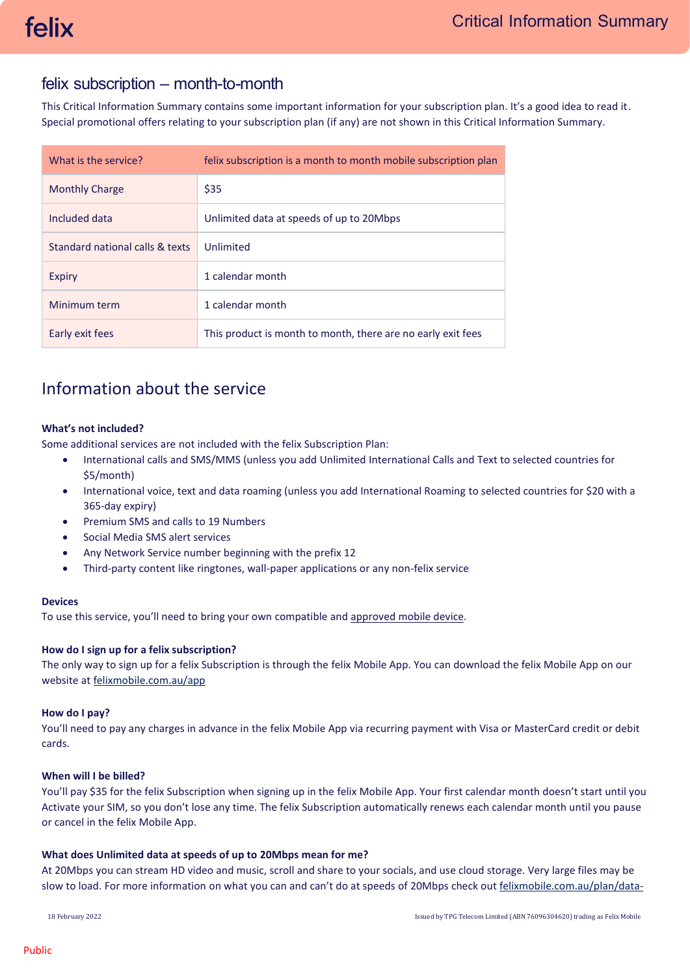## felix subscription – month-to-month

This Critical Information Summary contains some important information for your subscription plan. It's a good idea to read it. Special promotional offers relating to your subscription plan (if any) are not shown in this Critical Information Summary.

| What is the service?            | felix subscription is a month to month mobile subscription plan |
|---------------------------------|-----------------------------------------------------------------|
| <b>Monthly Charge</b>           | \$35                                                            |
| Included data                   | Unlimited data at speeds of up to 20Mbps                        |
| Standard national calls & texts | Unlimited                                                       |
| Expiry                          | 1 calendar month                                                |
| Minimum term                    | 1 calendar month                                                |
| Early exit fees                 | This product is month to month, there are no early exit fees    |

# Information about the service

### **What's not included?**

Some additional services are not included with the felix Subscription Plan:

- International calls and SMS/MMS (unless you add Unlimited International Calls and Text to selected countries for \$5/month)
- International voice, text and data roaming (unless you add International Roaming to selected countries for \$20 with a 365-day expiry)
- Premium SMS and calls to 19 Numbers
- Social Media SMS alert services
- Any Network Service number beginning with the prefix 12
- Third-party content like ringtones, wall-paper applications or any non-felix service

#### **Devices**

To use this service, you'll need to bring your own compatible and approved [mobile device.](https://felixmobile.com.au/terms-policies/device-list)

## **How do I sign up for a felix subscription?**

The only way to sign up for a felix Subscription is through the felix Mobile App. You can download the felix Mobile App on our website a[t felixmobile.com.au/app](https://www.felixmobile.com.au/app)

## **How do I pay?**

You'll need to pay any charges in advance in the felix Mobile App via recurring payment with Visa or MasterCard credit or debit cards.

#### **When will I be billed?**

You'll pay \$35 for the felix Subscription when signing up in the felix Mobile App. Your first calendar month doesn't start until you Activate your SIM, so you don't lose any time. The felix Subscription automatically renews each calendar month until you pause or cancel in the felix Mobile App.

## **What does Unlimited data at speeds of up to 20Mbps mean for me?**

At 20Mbps you can stream HD video and music, scroll and share to your socials, and use cloud storage. Very large files may be slow to load. For more information on what you can and can't do at speeds of 20Mbps check out [felixmobile.com.au/plan/data-](https://www.felixmobile.com.au/plan/data-speed)